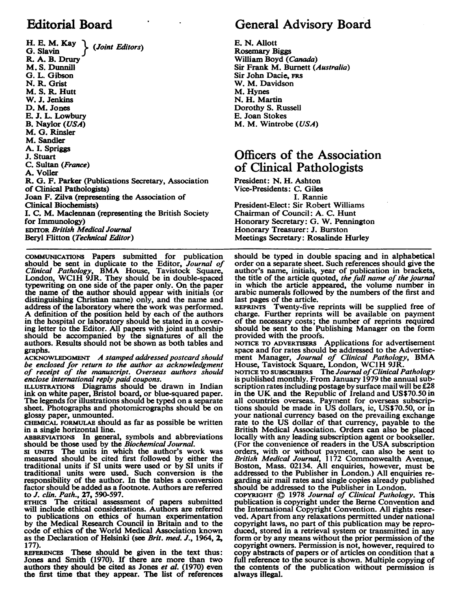# Editorial Board

H. E. M. Kay  $\left\{\right.$  (Joint Editors) R. A. B. Drury M. S. Dunnill G. L. Gibson N. R. Grist M. S. R. Hutt W. J. Jenkins D. M. Jones E. J. L. Lowbury B. Naylor (USA) M. G. Rinsler M. Sandler A. I. Spriggs J. Stuart C. Sultan (France) A. Voller R. G. F. Parker (Publications Secretary, Association of Clinical Pathologists) Joan F. Zilva (representing the Association of Clinical Biochemists) I. C. M. Maclennan (representing the British Society for Immunology) EDiTOR British Medical Journal Beryl Flitton (Technical Editor)

 $\ddot{\phantom{a}}$ 

COMMUNICATIONS Papers submitted for publication should be sent in duplicate to the Editor, Journal of Clinical Pathology, BMA House, Tavistock Square, London, WC1H 9JR. They should be in double-spaced typewriting on one side of the paper only. On the paper the name of the author should appear with initials (or distinguishing Christian name) only, and the name and address of the laboratory where the work was performed. A definition of the position held by each of the authors in the hospital or laboratory should be stated in a covering letter to the Editor. All papers with joint authorship should be accompanied by the signatures of all the authors. Results should not be shown as both tables and graphs.

ACKNOWLEDGMENT A stamped addressed postcard should be enclosed for return to the author as acknowledgment of receipt of the manuscript. Overseas authors should enclose international reply paid coupons.

ILLUSTRATIONS Diagrams should be drawn in Indian ink on white paper, Bristol board, or blue-squared paper. The legends for illustrations should be typed on a separate sheet. Photographs and photomicrographs should be on glossy paper, unmounted.

CHEMICAL FORMULAE should as far as possible be written in a single horizontal line.

ABBREVIATIONS In general, symbols and abbreviations should be those used by the Biochemical Journal.

SI uNITS The units in which the author's work was measured should be cited first followed by either the traditional units if SI units were used or by SI units if traditional units were used. Such conversion is the responsibility of the author. In the tables a conversion factor should be added as a footnote. Authors are referred to J. clin. Path., 27, 590-597.<br>ETHICS The critical assessi

The critical assessment of papers submitted will include ethical considerations. Authors are referred to publications on ethics of human experimentation by the Medical Research Council in Britain and to the code of ethics of the World Medical Association known as the Declaration of Helsinki (see Brit. med. J., 1964, 2, 177).

REFERENCES These should be given in the text thus: Jones and Smith (1970). If there are more than two authors they should be cited as Jones et al. (1970) even the first time that they appear. The list of references

# General Advisory Board

E. N. Allott Rosemary Biggs William Boyd (Canada) Sir Frank M. Burnett (Australia) Sir John Dacie, FRs W. M. Davidson M. Hynes N. H. Martin Dorothy S. Russell E. Joan Stokes M. M. Wintrobe (USA)

## Officers of the Association of Clinical Pathologists

President: N. H. Ashton Vice-Presidents: C. Giles I. Rannie President-Elect: Sir Robert Williams Chairman of Council: A. C. Hunt Honorary Secretary: G. W. Pennington Honorary Treasurer: J. Burston Meetings Secretary: Rosalinde Hurley

should be typed in double spacing and in alphabetical order on a separate sheet. Such references should give the author's name, initials, year of publication in brackets, the title of the article quoted, the full name of the journal in which the article appeared, the volume number in arabic numerals followed by the numbers of the first and last pages of the article.

REPRINTS Twenty-five reprints will be supplied free of charge. Further reprints will be available on payment of the necessary costs; the number of reprints required should be sent to the Publishing Manager on the form provided with the proofs.

NOTICE TO ADVERTISERS Applications for advertisement space and for rates should be addressed to the Advertisement Manager, Journal of Clinical Pathology, BMA House, Tavistock Square, London, WCIH 9JR.<br>NOTICE TO SUBSCRIBERS The Journal of Clinical Pathology

is published monthly. From January 1979 the annual subscription rates including postage by surface mail will be £28 in the UK and the Republic of Ireland and US\$70.50 in all countries overseas. Payment for overseas subscriptions should be made in US dollars, ic, US\$70.50, or in your national currency based on the prevailing exchange rate to the US dollar of that currency, payable to the British Medical Association. Orders can also be placed locally with any leading subscription agent or bookseller. (For the convenience of readers in the USA subscription orders, with or without payment, can also be sent to British Medical Journal, 1172 Commonwealth Avenue, Boston, Mass. 02134. All enquiries, however, must be addressed to the Publisher in London.) All enquiries regarding air mail rates and single copies already published

should be addressed to the Publisher in London.<br>COPYRIGHT © 1978 Journal of Clinical Pathology. This publication is copyright under the Berne Convention and the International Copyright Convention. All rights reserved. Apart from any relaxations permitted under national copyright laws, no part of this publication may be reproduced, stored in a retrieval system or transmitted in any form or by any means without the prior permission of the copyright owners. Permission is not, however, required to copy abstracts of papers or of articles on condition that a full reference to the source is shown. Multiple copying of the contents of the publication without permission is always illegal.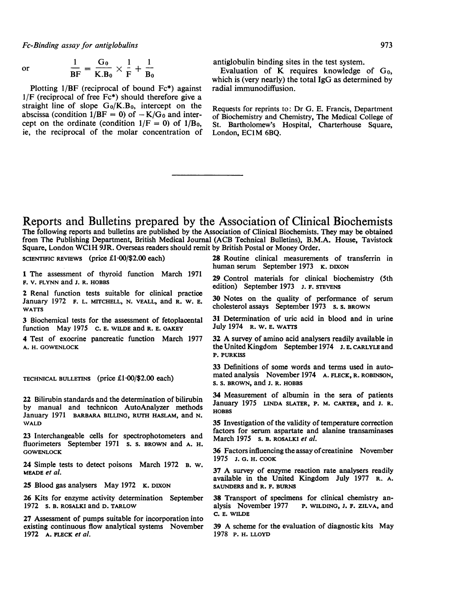Fc-Binding assay for antiglobulins

Plotting 1/BF (reciprocal of bound Fc\*) against  $1/F$  (reciprocal of free  $Fc^*$ ) should therefore give a straight line of slope  $G_0/K.B_0$ , intercept on the abscissa (condition  $1/BF = 0$ ) of  $-K/G_0$  and intercept on the ordinate (condition  $1/F = 0$ ) of  $1/B<sub>0</sub>$ , ie, the reciprocal of the molar concentration of antiglobulin binding sites in the test system.

Evaluation of K requires knowledge of  $G_0$ , which is (very nearly) the total IgG as determined by radial immunodiffusion.

Requests for reprints to: Dr G. E. Francis, Department of Biochemistry and Chemistry, The Medical College of St. Bartholomew's Hospital, Charterhouse Square, London, ECIM 6BQ.

## Reports and Bulletins prepared by the Association of Clinical Biochemists The following reports and bulletins are published by the Association of Clinical Biochemists. They may be obtained from The Publishing Department, British Medical Journal (ACB Technical Bulletins), B.M.A. House, Tavistock Square, London WC1H 9JR. Overseas readers should remit by British Postal or Money Order.

SCIENTIFIC REVIEWS (price  $£1.00/\$2.00$  each)

1 The assessment of thyroid function March 1971 F. V. FLYNN and J. R. HOBBS

2 Renal function tests suitable for clinical practice January 1972 F. L. MITCHELL, N. VEALL, and R. W. E. WATTS

3 Biochemical tests for the assessment of fetoplacental function May 1975 C. E. WILDE and R. E. OAKEY

4 Test of exocrine pancreatic function March 1977 A. H. GOWENLOCK

TECHNICAL BULLETINS (price  $£1.00/\$2.00$  each)

22 Bilirubin standards and the determination of bilirubin by manual and technicon AutoAnalyzer methods January 1971 BARBARA BILLING, RUTH HASLAM, and N. WALD

23 Interchangeable cells for spectrophotometers and fluorimeters September 1971 s. s. BROWN and A. H. **GOWENLOCK** 

24 Simple tests to detect poisons March 1972 B. W. MEADE et al.

25 Blood gas analysers May 1972 K. DIXON

26 Kits for enzyme activity determination September 1972 S. B. ROSALKI and D. TARLOW

27 Assessment of pumps suitable for incorporation into existing continuous flow analytical systems November 1972 A. FLECK et al.

28 Routine clinical measurements of transferrin in human serum September 1973 K. DIXON

29 Control materials for clinical biochemistry (5th edition) September 1973 J. F. STEVENS

30 Notes on the quality of performance of serum cholesterol assays September 1973 s. S. BROWN

31 Determination of uric acid in blood and in urine July 1974 R. W. E. WATTS

<sup>32</sup> A survey of amino acid analysers readily available in the United Kingdom September 1974 J. E. cARLYLE and P. PURKISS

33 Definitions of some words and terms used in automated analysis November 1974 A. FLECK, R. ROBINSON, S. S. BROWN, and J. R. HOBBS

34 Measurement of albumin in the sera of patients January 1975 LINDA SLATER, P. M. CARTER, and J. R. HOBBS

35 Investigation of the validity of temperature correction factors for serum aspartate and alanine transaminases March 1975 s. B. ROSALKI et al.

36 Factors influencing the assay of creatinine November 1975 J. G. H. COOK

<sup>37</sup> A survey of enzyme reaction rate analysers readily available in the United Kingdom July 1977 R\_ A. SAUNDERS and R. F. BURNS

38 Transport of specimens for clinical chemistry an-<br>alysis November 1977 P. WILDING, J. F. ZILVA, and P. WILDING, J. F. ZILVA, and C. E. WILDE

<sup>39</sup> A scheme for the evaluation of diagnostic kits May 1978 P. H. LLOYD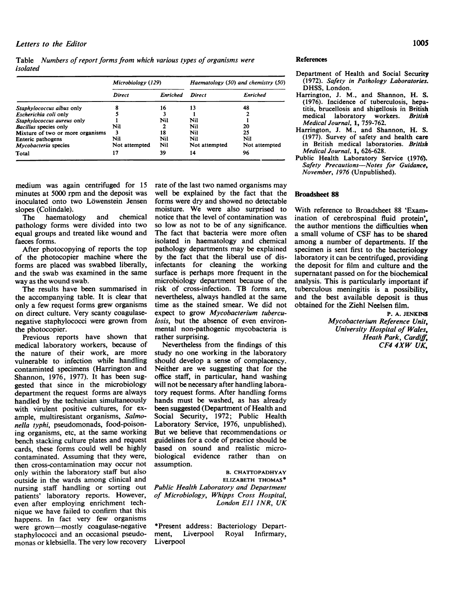Table Numbers of report forms from which various tvpes of organisms were isolated

|                                  | Microbiology (129) |                 | Haematology $(50)$ and chemistry $(50)$ |                 |
|----------------------------------|--------------------|-----------------|-----------------------------------------|-----------------|
|                                  | <b>Direct</b>      | <b>Enriched</b> | Direct                                  | <b>Enriched</b> |
| Staphylococcus albus only        |                    | 16              | 13                                      | 48              |
| Escherichia coli only            |                    |                 |                                         |                 |
| Staphylococcus aureus only       |                    | Nil             | Nil                                     |                 |
| <b>Bacillus</b> species only     | Nil                |                 | Nil                                     | 20              |
| Mixture of two or more organisms | 3                  | 18              | Nil                                     | 25              |
| Enteric pathogens                | Nil                | Nil             | Nil                                     | Nil             |
| Mycobacteria species             | Not attempted      | Nil             | Not attempted                           | Not attempted   |
| Total                            |                    | 39              | 14                                      | 96              |

medium was again centrifuged for 15 minutes at 5000 rpm and the deposit was inoculated onto two Löwenstein Jensen slopes (Colindale).<br>The haematol

haematology and chemical pathology forms were divided into two equal groups and treated like wound and faeces forms.

After photocopying of reports the top of the photocopier machine where the forms are placed was swabbed liberally, and the swab was examined in the same way as the wound swab.

The results have been summarised in the accompanying table. It is clear that only a few request forms grew organisms on direct culture. Very scanty coagulasenegative staphylococci were grown from the photocopier.

Previous reports have shown that medical laboratory workers, because of the nature of their work, are more vulnerable to infection while handling contaminted specimens (Harrington and Shannon, 1976, 1977). It has been suggested that since in the microbiology department the request forms are always handled by the technician simultaneously with virulent positive cultures, for example, multiresistant organisms, Salmonella typhi, pseudomonads, food-poisoning organisms, etc, at the same working bench stacking culture plates and request cards, these forms could well be highly contaminated. Assuming that they were, then cross-contamination may occur not only within the laboratory staff but also outside in the wards among clinical and nursing staff handling or sorting out patients' laboratory reports. However, even after employing enrichment technique we have failed to confirm that this happens. In fact very few organisms were grown-mostly coagulase-negative staphylococci and an occasional pseudomonas or klebsiella. The very low recovery

rate of the last two named organisms may well be explained by the fact that the forms were dry and showed no detectable moisture. We were also surprised to notice that the level of contamination was so low as not to be of any significance. The fact that bacteria were more often isolated in haematology and chemical pathology departments may be explained by the fact that the liberal use of disinfectants for cleaning the working surface is perhaps more frequent in the microbiology department because of the risk of cross-infection. TB forms are, nevertheless, always handled at the same time as the stained smear. We did not expect to grow Mycobacterium tuberculosis, but the absence of even environmental non-pathogenic mycobacteria is rather surprising.

Nevertheless from the findings of this study no one working in the laboratory should develop a sense of complacency. Neither are we suggesting that for the office staff, in particular, hand washing will not be necessary after handling laboratory request forms. After handling forms hands must be washed, as has already been suggested (Department of Health and Social Security, 1972; Public Health Laboratory Service, 1976, unpublished). But we believe that recommendations or guidelines for a code of practice should be based on sound and realistic microbiological evidence rather than on assumption.

B. CHATTOPADHYAY ELIZABETH THOMAS\* Public Health Laboratory and Department of Microbiology, Whipps Cross Hospital, London El1 INR, UK

\*Present address: Bacteriology Department, Liverpool Royal Infirmary, **Liverpool** 

## References

- Department of Health and Social Security (1972). Safety in Pathology Laboratories. DHSS, London.
- Harrington, J. M., and Shannon, H. S. (1976). Incidence of tuberculosis, hepatitis, brucellosis and shigellosis in British medical laboratory workers. British Medical Journal, 1, 759-762.
- Harrington, J. M., and Shannon, H. S. (1977). Survey of safety and health care in British medical laboratories. British Medical Journal. 1, 626-628.
- Public Health Laboratory Service (1976). Safety Precautions-Notes for Guidance, November, 1976 (Unpublished).

## Broadsheet 88

With reference to Broadsheet 88 'Examination of cerebrospinal fluid protein', the author mentions the difficulties when a small volume of CSF has to be shared among a number of departments. If the specimen is sent first to the bacteriology laboratory it can be centrifuged, providing the deposit for film and culture and the supernatant passed on for the biochemical analysis. This is particularly important if tuberculous meningitis is a possibility, and the best available deposit is thus obtained for the Ziehl Neelsen film.

P. A. JENKINS Mycobacteriwn Reference Unit, University Hospital of Wales, Heath Park, Cardiff, CF4 4XW UK,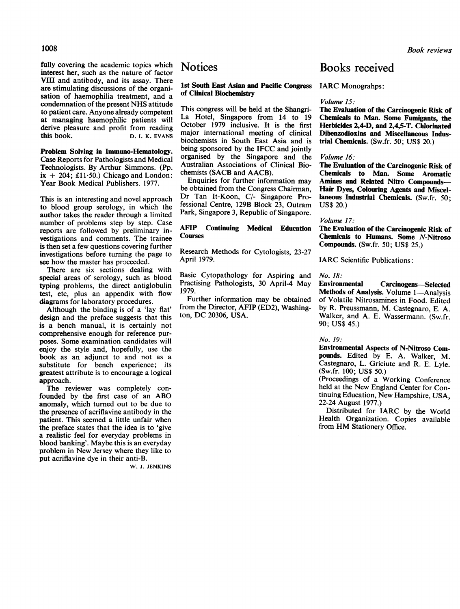fully covering the academic topics which interest her, such as the nature of factor VIII and antibody, and its assay. There are stimulating discussions of the organisation of haemophilia treatment, and a condemnation of the present NHS attitude to patient care. Anyone already competent at managing haemophilic patients will derive pleasure and profit from reading<br>this book.<br> $E = 1.$  K, EVANS D. I. K. EVANS

Problem Solving in Immuno-Hematology. Case Reports for Pathologists and Medical Technologists. By Arthur Simmons. (Pp.  $ix + 204$ ; £11.50.) Chicago and London: Year Book Medical Publishers. 1977.

This is an interesting and novel approach to blood group serology, in which the author takes the reader through a limited number of problems step by step. Case reports are followed by preliminary investigations and comments. The trainee is then set a few questions covering further investigations before turning the page to see how the master has proceeded.

There are six sections dealing with special areas of serology, such as blood typing problems, the direct antiglobulin test, etc, plus an appendix with flow diagrams for laboratory procedures.

Although the binding is of a 'lay flat' design and the preface suggests that this is a bench manual, it is certainly not comprehensive enough for reference purposes. Some examination candidates will enjoy the style and, hopefully, use the book as an adjunct to and not as a substitute for bench experience; its greatest attribute is to encourage a logical approach.

The reviewer was completely confounded by the first case of an ABO anomaly, which turned out to be due to the presence of acriflavine antibody in the patient. This seemed a little unfair when the preface states that the idea is to 'give a realistic feel for everyday problems in blood banking'. Maybe this is an everyday problem in New Jersey where they like to put acriflavine dye in their anti-B.

W. J. JENKINS

## **Notices**

## 1st South East Asian and Pacific Congress of Clinical Biochemistry

This congress will be held at the Shangri-La Hotel, Singapore from 14 to 19 October 1979 inclusive. It is the first major international meeting of clinical biochemists in South East Asia and is being sponsored by the IFCC and jointly organised by the Singapore and the Australian Associations of Clinical Biochemists (SACB and AACB).

Enquiries for further information may be obtained from the Congress Chairman, Dr Tan It-Koon, C/- Singapore Professional Centre, 129B Block 23, Outram Park, Singapore 3, Republic of Singapore.

## AFIP Continuing Medical Education Courses

Research Methods for Cytologists, 23-27 April 1979.

Basic Cytopathology for Aspiring and Practising Pathologists, 30 April-4 May 1979.

Further information may be obtained from the Director, AFIP (ED2), Washington, DC 20306, USA.

## Books received

IARC Monograhps:

#### Volume 15:

The Evaluation of the Carcinogenic Risk of Chemicals to Man. Some Fumigants, the Herbicides 2,4-D, and 2,4,5-T. Chlorinated Dibenzodioxins and Miscellaneous Industrial Chemicals. (Sw.fr. 50; US\$ 20.)

### Volume 16:

The Evaluation of the Carcinogenic Risk of Chemicals to Man. Some Aromatic Amines and Related Nitro Compounds-Hair Dyes, Colouring Agents and Miscellaneous Industrial Chemicals. (Sw.fr. 50; US\$ 20.)

### Volume 17:

The Evaluation of the Carcinogenic Risk of Chemicals to Humans. Some N-Nitroso Compounds. (Sw.fr. 50; US\$ 25.)

IARC Scientific Publications:

No. 18:<br>**Environmental** Carcinogens-Selected Methods of Analysis. Volume 1-Analysis of Volatile Nitrosamines in Food. Edited by R. Preussmann, M. Castegnaro, E. A. Walker, and A. E. Wassermann. (Sw.fr. 90; US\$ 45.)

#### No. 19:

Environmental Aspects of N-Nitroso Compounds. Edited by E. A. Walker, M. Castegnaro, L. Griciute and R. E. Lyle. (Sw.fr. 100; US\$ 50.)

(Proceedings of a Working Conference held at the New England Center for Continuing Education, New Hampshire, USA, 22-24 August 1977.)

Distributed for IARC by the World Health Organization. Copies available from HM Stationery Office.